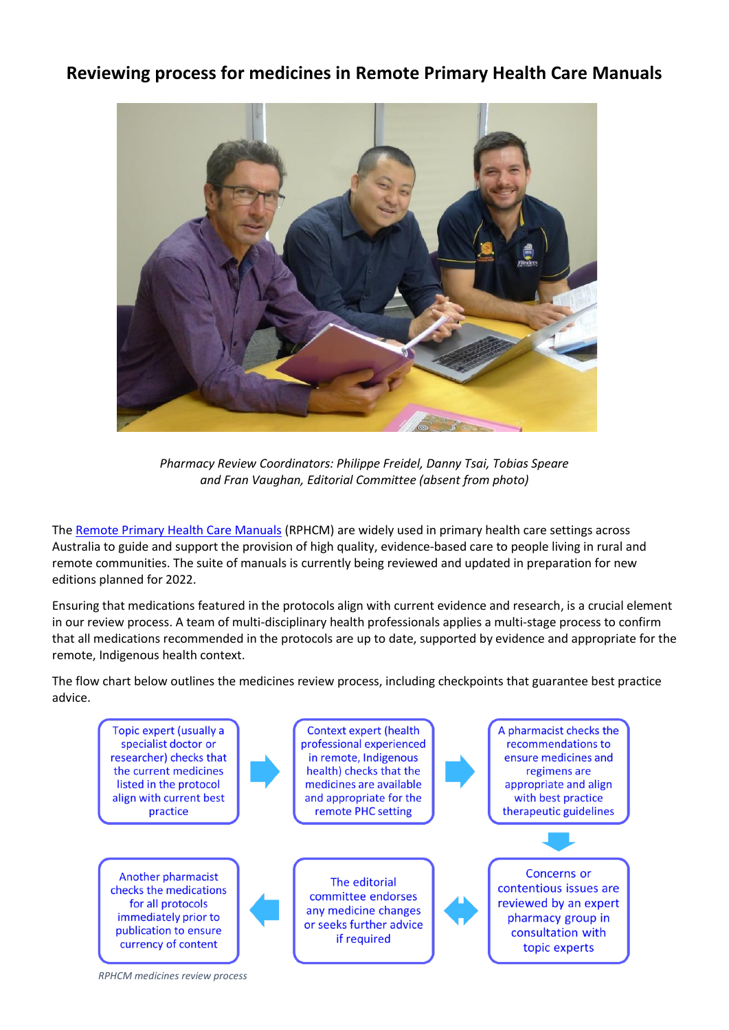## **Reviewing process for medicines in Remote Primary Health Care Manuals**



*Pharmacy Review Coordinators: Philippe Freidel, Danny Tsai, Tobias Speare and Fran Vaughan, Editorial Committee (absent from photo)*

Th[e Remote Primary Health Care Manuals](https://www.remotephcmanuals.com.au/) (RPHCM) are widely used in primary health care settings across Australia to guide and support the provision of high quality, evidence-based care to people living in rural and remote communities. The suite of manuals is currently being reviewed and updated in preparation for new editions planned for 2022.

Ensuring that medications featured in the protocols align with current evidence and research, is a crucial element in our review process. A team of multi-disciplinary health professionals applies a multi-stage process to confirm that all medications recommended in the protocols are up to date, supported by evidence and appropriate for the remote, Indigenous health context.

The flow chart below outlines the medicines review process, including checkpoints that guarantee best practice advice.